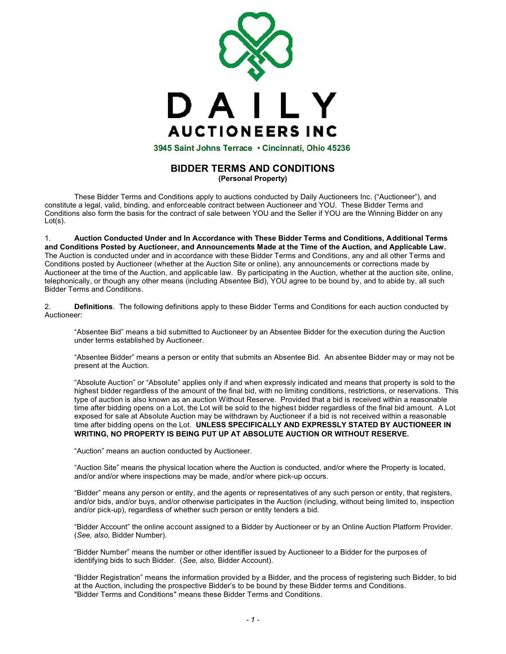

## **BIDDER TERMS AND CONDITIONS (Personal Property)**

These Bidder Terms and Conditions apply to auctions conducted by Daily Auctioneers Inc. ("Auctioneer"), and constitute a legal, valid, binding, and enforceable contract between Auctioneer and YOU. These Bidder Terms and Conditions also form the basis for the contract of sale between YOU and the Seller if YOU are the Winning Bidder on any  $Lot(s)$ .

1. **Auction Conducted Under and In Accordance with These Bidder Terms and Conditions, Additional Terms and Conditions Posted by Auctioneer, and Announcements Made at the Time of the Auction, and Applicable Law.** The Auction is conducted under and in accordance with these Bidder Terms and Conditions, any and all other Terms and Conditions posted by Auctioneer (whether at the Auction Site or online), any announcements or corrections made by Auctioneer at the time of the Auction, and applicable law. By participating in the Auction, whether at the auction site, online, telephonically, or though any other means (including Absentee Bid), YOU agree to be bound by, and to abide by, all such Bidder Terms and Conditions.

2. **Definitions**. The following definitions apply to these Bidder Terms and Conditions for each auction conducted by Auctioneer:

"Absentee Bid" means a bid submitted to Auctioneer by an Absentee Bidder for the execution during the Auction under terms established by Auctioneer.

"Absentee Bidder" means a person or entity that submits an Absentee Bid. An absentee Bidder may or may not be present at the Auction.

"Absolute Auction" or "Absolute" applies only if and when expressly indicated and means that property is sold to the highest bidder regardless of the amount of the final bid, with no limiting conditions, restrictions, or reservations. This type of auction is also known as an auction Without Reserve. Provided that a bid is received within a reasonable time after bidding opens on a Lot, the Lot will be sold to the highest bidder regardless of the final bid amount. A Lot exposed for sale at Absolute Auction may be withdrawn by Auctioneer if a bid is not received within a reasonable time after bidding opens on the Lot. **UNLESS SPECIFICALLY AND EXPRESSLY STATED BY AUCTIONEER IN WRITING, NO PROPERTY IS BEING PUT UP AT ABSOLUTE AUCTION OR WITHOUT RESERVE.**

"Auction" means an auction conducted by Auctioneer.

"Auction Site" means the physical location where the Auction is conducted, and/or where the Property is located, and/or and/or where inspections may be made, and/or where pick-up occurs.

"Bidder" means any person or entity, and the agents or representatives of any such person or entity, that registers, and/or bids, and/or buys, and/or otherwise participates in the Auction (including, without being limited to, inspection and/or pick-up), regardless of whether such person or entity tenders a bid.

"Bidder Account" the online account assigned to a Bidder by Auctioneer or by an Online Auction Platform Provider. (*See, also,* Bidder Number).

"Bidder Number" means the number or other identifier issued by Auctioneer to a Bidder for the purposes of identifying bids to such Bidder. (*See, also,* Bidder Account).

"Bidder Registration" means the information provided by a Bidder, and the process of registering such Bidder, to bid at the Auction, including the prospective Bidder's to be bound by these Bidder terms and Conditions. "Bidder Terms and Conditions" means these Bidder Terms and Conditions.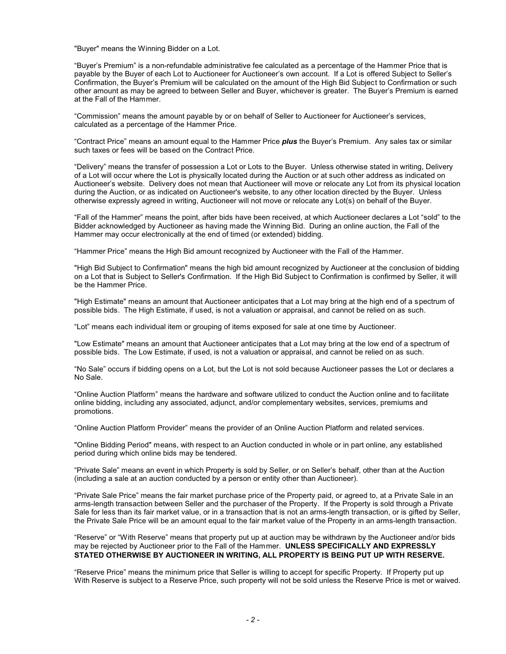"Buyer" means the Winning Bidder on a Lot.

"Buyer's Premium" is a non-refundable administrative fee calculated as a percentage of the Hammer Price that is payable by the Buyer of each Lot to Auctioneer for Auctioneer's own account. If a Lot is offered Subject to Seller's Confirmation, the Buyer's Premium will be calculated on the amount of the High Bid Subject to Confirmation or such other amount as may be agreed to between Seller and Buyer, whichever is greater. The Buyer's Premium is earned at the Fall of the Hammer.

"Commission" means the amount payable by or on behalf of Seller to Auctioneer for Auctioneer's services, calculated as a percentage of the Hammer Price.

"Contract Price" means an amount equal to the Hammer Price *plus* the Buyer's Premium. Any sales tax or similar such taxes or fees will be based on the Contract Price.

"Delivery" means the transfer of possession a Lot or Lots to the Buyer. Unless otherwise stated in writing, Delivery of a Lot will occur where the Lot is physically located during the Auction or at such other address as indicated on Auctioneer's website. Delivery does not mean that Auctioneer will move or relocate any Lot from its physical location during the Auction, or as indicated on Auctioneer's website, to any other location directed by the Buyer. Unless otherwise expressly agreed in writing, Auctioneer will not move or relocate any Lot(s) on behalf of the Buyer.

"Fall of the Hammer" means the point, after bids have been received, at which Auctioneer declares a Lot "sold" to the Bidder acknowledged by Auctioneer as having made the Winning Bid. During an online auction, the Fall of the Hammer may occur electronically at the end of timed (or extended) bidding.

"Hammer Price" means the High Bid amount recognized by Auctioneer with the Fall of the Hammer.

"High Bid Subject to Confirmation" means the high bid amount recognized by Auctioneer at the conclusion of bidding on a Lot that is Subject to Seller's Confirmation. If the High Bid Subject to Confirmation is confirmed by Seller, it will be the Hammer Price.

"High Estimate" means an amount that Auctioneer anticipates that a Lot may bring at the high end of a spectrum of possible bids. The High Estimate, if used, is not a valuation or appraisal, and cannot be relied on as such.

"Lot" means each individual item or grouping of items exposed for sale at one time by Auctioneer.

"Low Estimate" means an amount that Auctioneer anticipates that a Lot may bring at the low end of a spectrum of possible bids. The Low Estimate, if used, is not a valuation or appraisal, and cannot be relied on as such.

"No Sale" occurs if bidding opens on a Lot, but the Lot is not sold because Auctioneer passes the Lot or declares a No Sale.

"Online Auction Platform" means the hardware and software utilized to conduct the Auction online and to facilitate online bidding, including any associated, adjunct, and/or complementary websites, services, premiums and promotions.

"Online Auction Platform Provider" means the provider of an Online Auction Platform and related services.

"Online Bidding Period" means, with respect to an Auction conducted in whole or in part online, any established period during which online bids may be tendered.

"Private Sale" means an event in which Property is sold by Seller, or on Seller's behalf, other than at the Auction (including a sale at an auction conducted by a person or entity other than Auctioneer).

"Private Sale Price" means the fair market purchase price of the Property paid, or agreed to, at a Private Sale in an arms-length transaction between Seller and the purchaser of the Property. If the Property is sold through a Private Sale for less than its fair market value, or in a transaction that is not an arms-length transaction, or is gifted by Seller, the Private Sale Price will be an amount equal to the fair market value of the Property in an arms-length transaction.

"Reserve" or "With Reserve" means that property put up at auction may be withdrawn by the Auctioneer and/or bids may be rejected by Auctioneer prior to the Fall of the Hammer. **UNLESS SPECIFICALLY AND EXPRESSLY STATED OTHERWISE BY AUCTIONEER IN WRITING, ALL PROPERTY IS BEING PUT UP WITH RESERVE.**

"Reserve Price" means the minimum price that Seller is willing to accept for specific Property. If Property put up With Reserve is subject to a Reserve Price, such property will not be sold unless the Reserve Price is met or waived.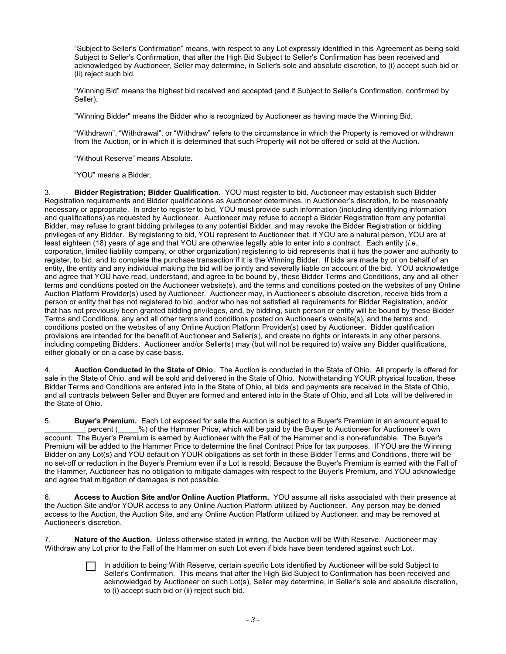"Subject to Seller's Confirmation" means, with respect to any Lot expressly identified in this Agreement as being sold Subject to Seller's Confirmation, that after the High Bid Subject to Seller's Confirmation has been received and acknowledged by Auctioneer, Seller may determine, in Seller's sole and absolute discretion, to (i) accept such bid or (ii) reject such bid.

"Winning Bid" means the highest bid received and accepted (and if Subject to Seller's Confirmation, confirmed by Seller).

"Winning Bidder" means the Bidder who is recognized by Auctioneer as having made the Winning Bid.

"Withdrawn", "Withdrawal", or "Withdraw" refers to the circumstance in which the Property is removed or withdrawn from the Auction, or in which it is determined that such Property will not be offered or sold at the Auction.

"Without Reserve" means Absolute.

"YOU" means a Bidder.

3. **Bidder Registration; Bidder Qualification.** YOU must register to bid. Auctioneer may establish such Bidder Registration requirements and Bidder qualifications as Auctioneer determines, in Auctioneer's discretion, to be reasonably necessary or appropriate. In order to register to bid, YOU must provide such information (including identifying information and qualifications) as requested by Auctioneer. Auctioneer may refuse to accept a Bidder Registration from any potential Bidder, may refuse to grant bidding privileges to any potential Bidder, and may revoke the Bidder Registration or bidding privileges of any Bidder. By registering to bid, YOU represent to Auctioneer that, if YOU are a natural person, YOU are at least eighteen (18) years of age and that YOU are otherwise legally able to enter into a contract. Each entity (*i.e.*, corporation, limited liability company, or other organization) registering to bid represents that it has the power and authority to register, to bid, and to complete the purchase transaction if it is the Winning Bidder. If bids are made by or on behalf of an entity, the entity and any individual making the bid will be jointly and severally liable on account of the bid. YOU acknowledge and agree that YOU have read, understand, and agree to be bound by, these Bidder Terms and Conditions, any and all other terms and conditions posted on the Auctioneer website(s), and the terms and conditions posted on the websites of any Online Auction Platform Provider(s) used by Auctioneer. Auctioneer may, in Auctioneer's absolute discretion, receive bids from a person or entity that has not registered to bid, and/or who has not satisfied all requirements for Bidder Registration, and/or that has not previously been granted bidding privileges, and, by bidding, such person or entity will be bound by these Bidder Terms and Conditions, any and all other terms and conditions posted on Auctioneer's website(s), and the terms and conditions posted on the websites of any Online Auction Platform Provider(s) used by Auctioneer. Bidder qualification provisions are intended for the benefit of Auctioneer and Seller(s), and create no rights or interests in any other persons, including competing Bidders. Auctioneer and/or Seller(s) may (but will not be required to) waive any Bidder qualifications, either globally or on a case by case basis.

4. **Auction Conducted in the State of Ohio**. The Auction is conducted in the State of Ohio. All property is offered for sale in the State of Ohio, and will be sold and delivered in the State of Ohio. Notwithstanding YOUR physical location, these Bidder Terms and Conditions are entered into in the State of Ohio, all bids and payments are received in the State of Ohio, and all contracts between Seller and Buyer are formed and entered into in the State of Ohio, and all Lots will be delivered in the State of Ohio.

5. **Buyer's Premium.** Each Lot exposed for sale the Auction is subject to a Buyer's Premium in an amount equal to percent ( $\%$ ) of the Hammer Price, which will be paid by the Buyer to Auctioneer for Auctioneer's own account. The Buyer's Premium is earned by Auctioneer with the Fall of the Hammer and is non-refundable. The Buyer's Premium will be added to the Hammer Price to determine the final Contract Price for tax purposes. If YOU are the Winning Bidder on any Lot(s) and YOU default on YOUR obligations as set forth in these Bidder Terms and Conditions, there will be no set-off or reduction in the Buyer's Premium even if a Lot is resold. Because the Buyer's Premium is earned with the Fall of the Hammer, Auctioneer has no obligation to mitigate damages with respect to the Buyer's Premium, and YOU acknowledge and agree that mitigation of damages is not possible.

6. **Access to Auction Site and/or Online Auction Platform.** YOU assume all risks associated with their presence at the Auction Site and/or YOUR access to any Online Auction Platform utilized by Auctioneer. Any person may be denied access to the Auction, the Auction Site, and any Online Auction Platform utilized by Auctioneer, and may be removed at Auctioneer's discretion.

Nature of the Auction. Unless otherwise stated in writing, the Auction will be With Reserve. Auctioneer may Withdraw any Lot prior to the Fall of the Hammer on such Lot even if bids have been tendered against such Lot.

> In addition to being With Reserve, certain specific Lots identified by Auctioneer will be sold Subject to Seller's Confirmation. This means that after the High Bid Subject to Confirmation has been received and acknowledged by Auctioneer on such Lot(s), Seller may determine, in Seller's sole and absolute discretion, to (i) accept such bid or (ii) reject such bid.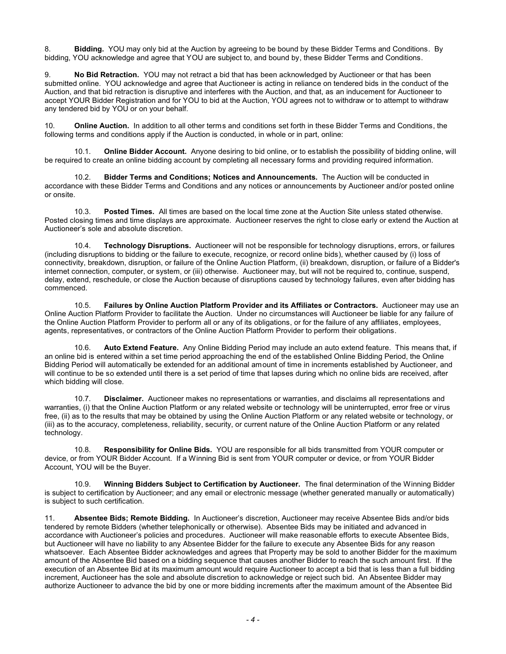8. **Bidding.** YOU may only bid at the Auction by agreeing to be bound by these Bidder Terms and Conditions. By bidding, YOU acknowledge and agree that YOU are subject to, and bound by, these Bidder Terms and Conditions.

9. **No Bid Retraction.** YOU may not retract a bid that has been acknowledged by Auctioneer or that has been submitted online. YOU acknowledge and agree that Auctioneer is acting in reliance on tendered bids in the conduct of the Auction, and that bid retraction is disruptive and interferes with the Auction, and that, as an inducement for Auctioneer to accept YOUR Bidder Registration and for YOU to bid at the Auction, YOU agrees not to withdraw or to attempt to withdraw any tendered bid by YOU or on your behalf.

10. **Online Auction.** In addition to all other terms and conditions set forth in these Bidder Terms and Conditions, the following terms and conditions apply if the Auction is conducted, in whole or in part, online:

10.1. **Online Bidder Account.** Anyone desiring to bid online, or to establish the possibility of bidding online, will be required to create an online bidding account by completing all necessary forms and providing required information.

10.2. **Bidder Terms and Conditions; Notices and Announcements.** The Auction will be conducted in accordance with these Bidder Terms and Conditions and any notices or announcements by Auctioneer and/or posted online or onsite.

10.3. **Posted Times.** All times are based on the local time zone at the Auction Site unless stated otherwise. Posted closing times and time displays are approximate. Auctioneer reserves the right to close early or extend the Auction at Auctioneer's sole and absolute discretion.

10.4. **Technology Disruptions.** Auctioneer will not be responsible for technology disruptions, errors, or failures (including disruptions to bidding or the failure to execute, recognize, or record online bids), whether caused by (i) loss of connectivity, breakdown, disruption, or failure of the Online Auction Platform, (ii) breakdown, disruption, or failure of a Bidder's internet connection, computer, or system, or (iii) otherwise. Auctioneer may, but will not be required to, continue, suspend, delay, extend, reschedule, or close the Auction because of disruptions caused by technology failures, even after bidding has commenced.

10.5. **Failures by Online Auction Platform Provider and its Affiliates or Contractors.** Auctioneer may use an Online Auction Platform Provider to facilitate the Auction. Under no circumstances will Auctioneer be liable for any failure of the Online Auction Platform Provider to perform all or any of its obligations, or for the failure of any affiliates, employees, agents, representatives, or contractors of the Online Auction Platform Provider to perform their obligations.

10.6. **Auto Extend Feature.** Any Online Bidding Period may include an auto extend feature. This means that, if an online bid is entered within a set time period approaching the end of the established Online Bidding Period, the Online Bidding Period will automatically be extended for an additional amount of time in increments established by Auctioneer, and will continue to be so extended until there is a set period of time that lapses during which no online bids are received, after which bidding will close.

10.7. **Disclaimer.** Auctioneer makes no representations or warranties, and disclaims all representations and warranties, (i) that the Online Auction Platform or any related website or technology will be uninterrupted, error free or virus free, (ii) as to the results that may be obtained by using the Online Auction Platform or any related website or technology, or (iii) as to the accuracy, completeness, reliability, security, or current nature of the Online Auction Platform or any related technology.

10.8. **Responsibility for Online Bids.** YOU are responsible for all bids transmitted from YOUR computer or device, or from YOUR Bidder Account. If a Winning Bid is sent from YOUR computer or device, or from YOUR Bidder Account, YOU will be the Buyer.

10.9. **Winning Bidders Subject to Certification by Auctioneer.** The final determination of the Winning Bidder is subject to certification by Auctioneer; and any email or electronic message (whether generated manually or automatically) is subject to such certification.

11. **Absentee Bids; Remote Bidding.** In Auctioneer's discretion, Auctioneer may receive Absentee Bids and/or bids tendered by remote Bidders (whether telephonically or otherwise). Absentee Bids may be initiated and advanced in accordance with Auctioneer's policies and procedures. Auctioneer will make reasonable efforts to execute Absentee Bids, but Auctioneer will have no liability to any Absentee Bidder for the failure to execute any Absentee Bids for any reason whatsoever. Each Absentee Bidder acknowledges and agrees that Property may be sold to another Bidder for the maximum amount of the Absentee Bid based on a bidding sequence that causes another Bidder to reach the such amount first. If the execution of an Absentee Bid at its maximum amount would require Auctioneer to accept a bid that is less than a full bidding increment, Auctioneer has the sole and absolute discretion to acknowledge or reject such bid. An Absentee Bidder may authorize Auctioneer to advance the bid by one or more bidding increments after the maximum amount of the Absentee Bid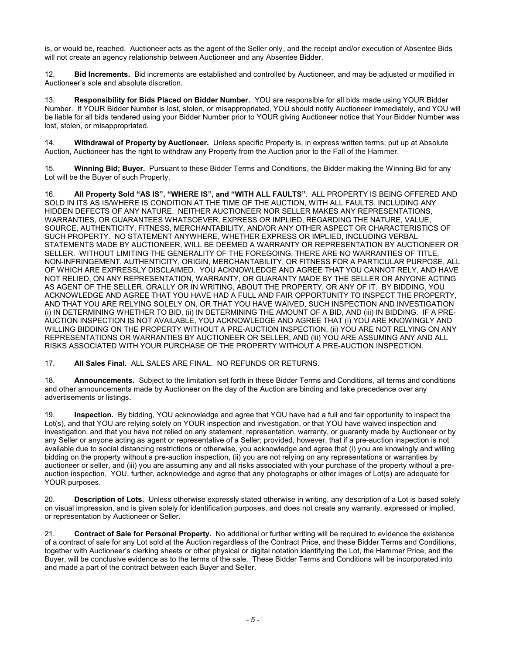is, or would be, reached. Auctioneer acts as the agent of the Seller only, and the receipt and/or execution of Absentee Bids will not create an agency relationship between Auctioneer and any Absentee Bidder.

12. **Bid Increments.** Bid increments are established and controlled by Auctioneer, and may be adjusted or modified in Auctioneer's sole and absolute discretion.

13. **Responsibility for Bids Placed on Bidder Number.** YOU are responsible for all bids made using YOUR Bidder Number. If YOUR Bidder Number is lost, stolen, or misappropriated, YOU should notify Auctioneer immediately, and YOU will be liable for all bids tendered using your Bidder Number prior to YOUR giving Auctioneer notice that Your Bidder Number was lost, stolen, or misappropriated.

14. **Withdrawal of Property by Auctioneer.** Unless specific Property is, in express written terms, put up at Absolute Auction, Auctioneer has the right to withdraw any Property from the Auction prior to the Fall of the Hammer.

15. **Winning Bid; Buyer.** Pursuant to these Bidder Terms and Conditions, the Bidder making the Winning Bid for any Lot will be the Buyer of such Property.

16. **All Property Sold "AS IS", "WHERE IS", and "WITH ALL FAULTS"**. ALL PROPERTY IS BEING OFFERED AND SOLD IN ITS AS IS/WHERE IS CONDITION AT THE TIME OF THE AUCTION, WITH ALL FAULTS, INCLUDING ANY HIDDEN DEFECTS OF ANY NATURE. NEITHER AUCTIONEER NOR SELLER MAKES ANY REPRESENTATIONS, WARRANTIES, OR GUARANTEES WHATSOEVER, EXPRESS OR IMPLIED, REGARDING THE NATURE, VALUE, SOURCE, AUTHENTICITY, FITNESS, MERCHANTABILITY, AND/OR ANY OTHER ASPECT OR CHARACTERISTICS OF SUCH PROPERTY. NO STATEMENT ANYWHERE, WHETHER EXPRESS OR IMPLIED, INCLUDING VERBAL STATEMENTS MADE BY AUCTIONEER, WILL BE DEEMED A WARRANTY OR REPRESENTATION BY AUCTIONEER OR SELLER. WITHOUT LIMITING THE GENERALITY OF THE FOREGOING, THERE ARE NO WARRANTIES OF TITLE, NON-INFRINGEMENT, AUTHENTICITY, ORIGIN, MERCHANTABILITY, OR FITNESS FOR A PARTICULAR PURPOSE, ALL OF WHICH ARE EXPRESSLY DISCLAIMED. YOU ACKNOWLEDGE AND AGREE THAT YOU CANNOT RELY, AND HAVE NOT RELIED, ON ANY REPRESENTATION, WARRANTY, OR GUARANTY MADE BY THE SELLER OR ANYONE ACTING AS AGENT OF THE SELLER, ORALLY OR IN WRITING, ABOUT THE PROPERTY, OR ANY OF IT. BY BIDDING, YOU ACKNOWLEDGE AND AGREE THAT YOU HAVE HAD A FULL AND FAIR OPPORTUNITY TO INSPECT THE PROPERTY, AND THAT YOU ARE RELYING SOLELY ON, OR THAT YOU HAVE WAIVED, SUCH INSPECTION AND INVESTIGATION (i) IN DETERMINING WHETHER TO BID, (ii) IN DETERMINING THE AMOUNT OF A BID, AND (iii) IN BIDDING. IF A PRE-AUCTION INSPECTION IS NOT AVAILABLE, YOU ACKNOWLEDGE AND AGREE THAT (i) YOU ARE KNOWINGLY AND WILLING BIDDING ON THE PROPERTY WITHOUT A PRE-AUCTION INSPECTION, (ii) YOU ARE NOT RELYING ON ANY REPRESENTATIONS OR WARRANTIES BY AUCTIONEER OR SELLER, AND (iii) YOU ARE ASSUMING ANY AND ALL RISKS ASSOCIATED WITH YOUR PURCHASE OF THE PROPERTY WITHOUT A PRE-AUCTION INSPECTION.

17. **All Sales Final.** ALL SALES ARE FINAL. NO REFUNDS OR RETURNS.

18. **Announcements.** Subject to the limitation set forth in these Bidder Terms and Conditions, all terms and conditions and other announcements made by Auctioneer on the day of the Auction are binding and take precedence over any advertisements or listings.

19. **Inspection.** By bidding, YOU acknowledge and agree that YOU have had a full and fair opportunity to inspect the Lot(s), and that YOU are relying solely on YOUR inspection and investigation, or that YOU have waived inspection and investigation, and that you have not relied on any statement, representation, warranty, or guaranty made by Auctioneer or by any Seller or anyone acting as agent or representative of a Seller; provided, however, that if a pre-auction inspection is not available due to social distancing restrictions or otherwise, you acknowledge and agree that (i) you are knowingly and willing bidding on the property without a pre-auction inspection, (ii) you are not relying on any representations or warranties by auctioneer or seller, and (iii) you are assuming any and all risks associated with your purchase of the property without a preauction inspection. YOU, further, acknowledge and agree that any photographs or other images of Lot(s) are adequate for YOUR purposes.

20. **Description of Lots.** Unless otherwise expressly stated otherwise in writing, any description of a Lot is based solely on visual impression, and is given solely for identification purposes, and does not create any warranty, expressed or implied, or representation by Auctioneer or Seller.

21. **Contract of Sale for Personal Property.** No additional or further writing will be required to evidence the existence of a contract of sale for any Lot sold at the Auction regardless of the Contract Price, and these Bidder Terms and Conditions, together with Auctioneer's clerking sheets or other physical or digital notation identifying the Lot, the Hammer Price, and the Buyer, will be conclusive evidence as to the terms of the sale. These Bidder Terms and Conditions will be incorporated into and made a part of the contract between each Buyer and Seller.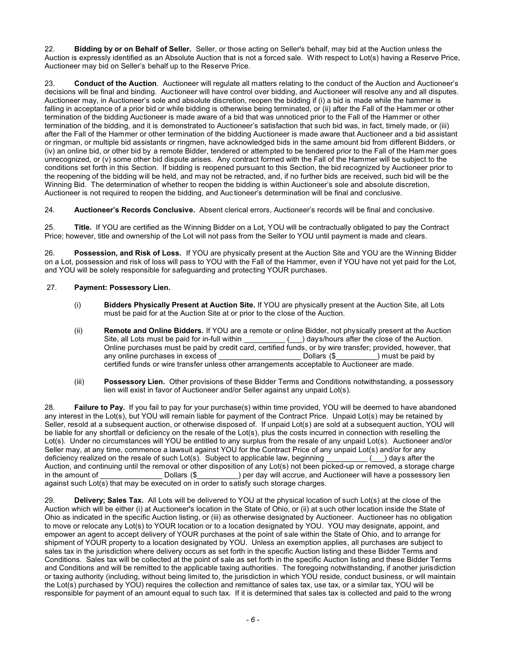22. **Bidding by or on Behalf of Seller.** Seller, or those acting on Seller's behalf, may bid at the Auction unless the Auction is expressly identified as an Absolute Auction that is not a forced sale. With respect to Lot(s) having a Reserve Price, Auctioneer may bid on Seller's behalf up to the Reserve Price.

23. **Conduct of the Auction**. Auctioneer will regulate all matters relating to the conduct of the Auction and Auctioneer's decisions will be final and binding. Auctioneer will have control over bidding, and Auctioneer will resolve any and all disputes. Auctioneer may, in Auctioneer's sole and absolute discretion, reopen the bidding if (i) a bid is made while the hammer is falling in acceptance of a prior bid or while bidding is otherwise being terminated, or (ii) after the Fall of the Hammer or other termination of the bidding Auctioneer is made aware of a bid that was unnoticed prior to the Fall of the Hammer or other termination of the bidding, and it is demonstrated to Auctioneer's satisfaction that such bid was, in fact, timely made, or (iii) after the Fall of the Hammer or other termination of the bidding Auctioneer is made aware that Auctioneer and a bid assistant or ringman, or multiple bid assistants or ringmen, have acknowledged bids in the same amount bid from different Bidders, or (iv) an online bid, or other bid by a remote Bidder, tendered or attempted to be tendered prior to the Fall of the Ham mer goes unrecognized, or (v) some other bid dispute arises. Any contract formed with the Fall of the Hammer will be subject to the conditions set forth in this Section. If bidding is reopened pursuant to this Section, the bid recognized by Auctioneer prior to the reopening of the bidding will be held, and may not be retracted, and, if no further bids are received, such bid will be the Winning Bid. The determination of whether to reopen the bidding is within Auctioneer's sole and absolute discretion, Auctioneer is not required to reopen the bidding, and Auc tioneer's determination will be final and conclusive.

24. **Auctioneer's Records Conclusive.** Absent clerical errors, Auctioneer's records will be final and conclusive.

25. **Title.** If YOU are certified as the Winning Bidder on a Lot, YOU will be contractually obligated to pay the Contract Price; however, title and ownership of the Lot will not pass from the Seller to YOU until payment is made and clears.

26. **Possession, and Risk of Loss.** If YOU are physically present at the Auction Site and YOU are the Winning Bidder on a Lot, possession and risk of loss will pass to YOU with the Fall of the Hammer, even if YOU have not yet paid for the Lot, and YOU will be solely responsible for safeguarding and protecting YOUR purchases.

## 27. **Payment: Possessory Lien.**

- (i) **Bidders Physically Present at Auction Site.** If YOU are physically present at the Auction Site, all Lots must be paid for at the Auction Site at or prior to the close of the Auction.
- (ii) **Remote and Online Bidders.** If YOU are a remote or online Bidder, not physically present at the Auction Site, all Lots must be paid for in-full within \_\_\_\_\_\_\_\_\_\_\_\_ (\_\_\_) days/hours after the close of the Auction. Online purchases must be paid by credit card, certified funds, or by wire transfer; provided, however, that any online purchases in excess of Dollars  $(\$)$  must be paid by any online purchases in excess of certified funds or wire transfer unless other arrangements acceptable to Auctioneer are made.
- (iii) **Possessory Lien.** Other provisions of these Bidder Terms and Conditions notwithstanding, a possessory lien will exist in favor of Auctioneer and/or Seller against any unpaid Lot(s).

28. **Failure to Pay.** If you fail to pay for your purchase(s) within time provided, YOU will be deemed to have abandoned any interest in the Lot(s), but YOU will remain liable for payment of the Contract Price. Unpaid Lot(s) may be retained by Seller, resold at a subsequent auction, or otherwise disposed of. If unpaid Lot(s) are sold at a subsequent auction, YOU will be liable for any shortfall or deficiency on the resale of the Lot(s), plus the costs incurred in connection with reselling the Lot(s). Under no circumstances will YOU be entitled to any surplus from the resale of any unpaid Lot(s). Auctioneer and/or Seller may, at any time, commence a lawsuit against YOU for the Contract Price of any unpaid Lot(s) and/or for any deficiency realized on the resale of such Lot(s). Subject to applicable law, beginning \_\_\_\_\_ () days after deficiency realized on the resale of such Lot(s). Subject to applicable law, beginning \_\_\_\_\_\_\_\_\_\_ (\_\_\_) days after the Auction, and continuing until the removal or other disposition of any Lot(s) not been picked-up or removed, a storage charge in the amount of \_\_\_\_\_\_\_\_\_\_\_\_\_\_\_\_\_\_\_Dollars (\$ ) per day will accrue, and Auctioneer will have a possessory lien against such  $\text{Lot}(s)$  that may be executed on in order to satisfy such storage charges.

29. **Delivery; Sales Tax.** All Lots will be delivered to YOU at the physical location of such Lot(s) at the close of the Auction which will be either (i) at Auctioneer's location in the State of Ohio, or (ii) at such other location inside the State of Ohio as indicated in the specific Auction listing, or (iii) as otherwise designated by Auctioneer. Auctioneer has no obligation to move or relocate any Lot(s) to YOUR location or to a location designated by YOU. YOU may designate, appoint, and empower an agent to accept delivery of YOUR purchases at the point of sale within the State of Ohio, and to arrange for shipment of YOUR property to a location designated by YOU. Unless an exemption applies, all purchases are subject to sales tax in the jurisdiction where delivery occurs as set forth in the specific Auction listing and these Bidder Terms and Conditions. Sales tax will be collected at the point of sale as set forth in the specific Auction listing and these Bidder Terms and Conditions and will be remitted to the applicable taxing authorities. The foregoing notwithstanding, if another jurisdiction or taxing authority (including, without being limited to, the jurisdiction in which YOU reside, conduct business, or will maintain the Lot(s) purchased by YOU) requires the collection and remittance of sales tax, use tax, or a similar tax, YOU will be responsible for payment of an amount equal to such tax. If it is determined that sales tax is collected and paid to the wrong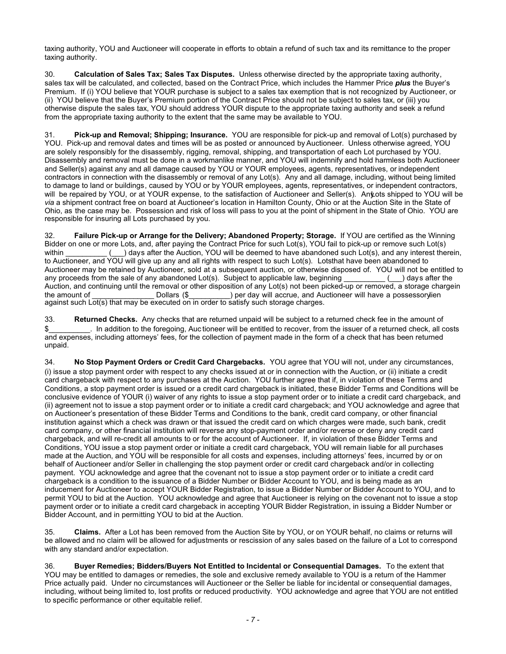taxing authority, YOU and Auctioneer will cooperate in efforts to obtain a refund of such tax and its remittance to the proper taxing authority.

30. **Calculation of Sales Tax; Sales Tax Disputes.** Unless otherwise directed by the appropriate taxing authority, sales tax will be calculated, and collected, based on the Contract Price, which includes the Hammer Price *plus* the Buyer's Premium. If (i) YOU believe that YOUR purchase is subject to a sales tax exemption that is not recognized by Auctioneer, or (ii) YOU believe that the Buyer's Premium portion of the Contract Price should not be subject to sales tax, or (iii) you otherwise dispute the sales tax, YOU should address YOUR dispute to the appropriate taxing authority and seek a refund from the appropriate taxing authority to the extent that the same may be available to YOU.

31. **Pick-up and Removal; Shipping; Insurance.** YOU are responsible for pick-up and removal of Lot(s) purchased by YOU. Pick-up and removal dates and times will be as posted or announced by Auctioneer. Unless otherwise agreed, YOU are solely responsibly for the disassembly, rigging, removal, shipping, and transportation of each Lot purchased by YOU. Disassembly and removal must be done in a workmanlike manner, and YOU will indemnify and hold harmless both Auctioneer and Seller(s) against any and all damage caused by YOU or YOUR employees, agents, representatives, or independent contractors in connection with the disassembly or removal of any Lot(s). Any and all damage, including, without being limited to damage to land or buildings, caused by YOU or by YOUR employees, agents, representatives, or independent contractors, will be repaired by YOU, or at YOUR expense, to the satisfaction of Auctioneer and Seller(s). An vots shipped to YOU will be *via* a shipment contract free on board at Auctioneer's location in Hamilton County, Ohio or at the Auction Site in the State of Ohio, as the case may be. Possession and risk of loss will pass to you at the point of shipment in the State of Ohio. YOU are responsible for insuring all Lots purchased by you.

32. **Failure Pick-up or Arrange for the Delivery; Abandoned Property; Storage.** If YOU are certified as the Winning Bidder on one or more Lots, and, after paying the Contract Price for such Lot(s), YOU fail to pick-up or remove such Lot(s) within  $($ ) days after the Auction, YOU will be deemed to have abandoned such Lot(s), and any interest therein, to Auctioneer, and YOU will give up any and all rights with respect to such Lot(s). Lotsthat have been abandoned to Auctioneer may be retained by Auctioneer, sold at a subsequent auction, or otherwise disposed of. YOU will not be entitled to any proceeds from the sale of any abandoned Lot(s). Subject to applicable law, beginning () davs any proceeds from the sale of any abandoned Lot(s). Subject to applicable law, beginning Auction, and continuing until the removal or other disposition of any Lot(s) not been picked-up or removed, a storage chargein<br>the amount of Dollars (\$) per day will accrue, and Auctioneer will have a possessorylien the amount of and Auctioneer will have a possessorvlien ally be day will accide, and Additional against such Lot(s) that may be executed on in order to satisfy such storage charges.

33. **Returned Checks.** Any checks that are returned unpaid will be subject to a returned check fee in the amount of \$\_\_\_\_\_\_\_\_\_\_. In addition to the foregoing, Auc tioneer will be entitled to recover, from the issuer of a returned check, all costs and expenses, including attorneys' fees, for the collection of payment made in the form of a check that has been returned unpaid.

34. **No Stop Payment Orders or Credit Card Chargebacks.** YOU agree that YOU will not, under any circumstances, (i) issue a stop payment order with respect to any checks issued at or in connection with the Auction, or (ii) initiate a credit card chargeback with respect to any purchases at the Auction. YOU further agree that if, in violation of these Terms and Conditions, a stop payment order is issued or a credit card chargeback is initiated, these Bidder Terms and Conditions will be conclusive evidence of YOUR (i) waiver of any rights to issue a stop payment order or to initiate a credit card chargeback, and (ii) agreement not to issue a stop payment order or to initiate a credit card chargeback; and YOU acknowledge and agree that on Auctioneer's presentation of these Bidder Terms and Conditions to the bank, credit card company, or other financial institution against which a check was drawn or that issued the credit card on which charges were made, such bank, credit card company, or other financial institution will reverse any stop-payment order and/or reverse or deny any credit card chargeback, and will re-credit all amounts to or for the account of Auctioneer. If, in violation of these Bidder Terms and Conditions, YOU issue a stop payment order or initiate a credit card chargeback, YOU will remain liable for all purchases made at the Auction, and YOU will be responsible for all costs and expenses, including attorneys' fees, incurred by or on behalf of Auctioneer and/or Seller in challenging the stop payment order or credit card chargeback and/or in collecting payment. YOU acknowledge and agree that the covenant not to issue a stop payment order or to initiate a credit card chargeback is a condition to the issuance of a Bidder Number or Bidder Account to YOU, and is being made as an inducement for Auctioneer to accept YOUR Bidder Registration, to issue a Bidder Number or Bidder Account to YOU, and to permit YOU to bid at the Auction. YOU acknowledge and agree that Auctioneer is relying on the covenant not to issue a stop payment order or to initiate a credit card chargeback in accepting YOUR Bidder Registration, in issuing a Bidder Number or Bidder Account, and in permitting YOU to bid at the Auction.

35. **Claims.** After a Lot has been removed from the Auction Site by YOU, or on YOUR behalf, no claims or returns will be allowed and no claim will be allowed for adjustments or rescission of any sales based on the failure of a Lot to correspond with any standard and/or expectation.

36. **Buyer Remedies; Bidders/Buyers Not Entitled to Incidental or Consequential Damages.** To the extent that YOU may be entitled to damages or remedies, the sole and exclusive remedy available to YOU is a return of the Hammer Price actually paid. Under no circumstances will Auctioneer or the Seller be liable for incidental or consequential damages, including, without being limited to, lost profits or reduced productivity. YOU acknowledge and agree that YOU are not entitled to specific performance or other equitable relief.